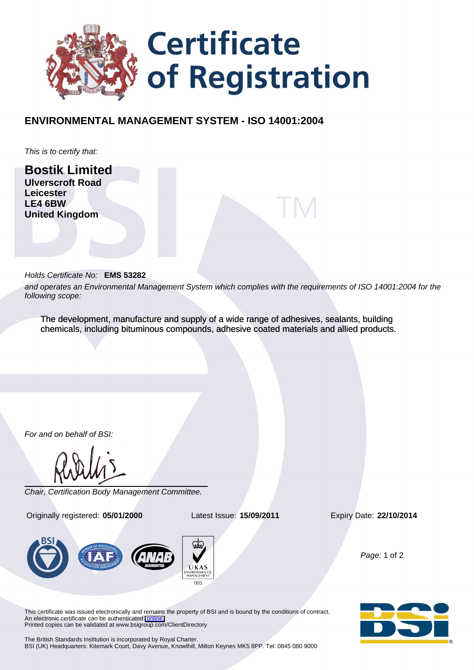

## **ENVIRONMENTAL MANAGEMENT SYSTEM - ISO 14001:2004**

This is to certify that:

**Bostik Limited Ulverscroft Road Leicester LE4 6BW United Kingdom**

## Holds Certificate No: **EMS 53282**

and operates an Environmental Management System which complies with the requirements of ISO 14001:2004 for the following scope:

The development, manufacture and supply of a wide range of adhesives, sealants, building chemicals, including bituminous compounds, adhesive coated materials and allied products.

For and on behalf of BSI:

Chair, Certification Body Management Committee.

Originally registered: **05/01/2000** Latest Issue: **15/09/2011** Expiry Date: **22/10/2014**



Page: 1 of 2

This certificate was issued electronically and remains the property of BSI and is bound by the conditions of contract. An electronic certificate can be authenticated [online.](https://pgplus.bsigroup.com/cert/default.asp?certnumber=EMS+53282&crdate=15%2F09%2F2011&certtemplate=uk) Printed copies can be validated at www.bsigroup.com/ClientDirectory

The British Standards Institution is incorporated by Royal Charter. BSI (UK) Headquarters: Kitemark Court, Davy Avenue, Knowlhill, Milton Keynes MK5 8PP. Tel: 0845 080 9000